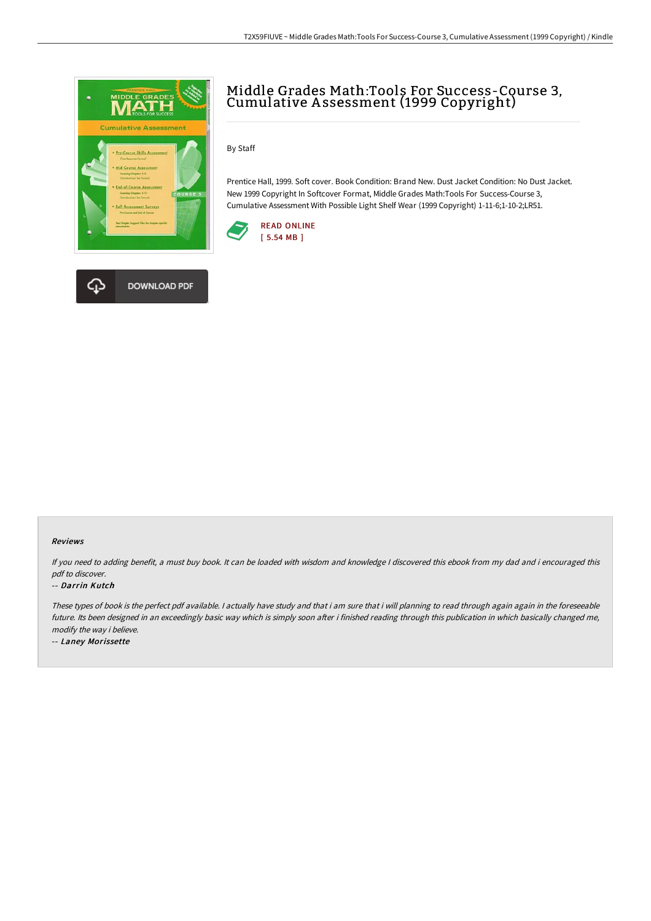

**DOWNLOAD PDF** 



By Staff

Prentice Hall, 1999. Soft cover. Book Condition: Brand New. Dust Jacket Condition: No Dust Jacket. New 1999 Copyright In Softcover Format, Middle Grades Math:Tools For Success-Course 3, Cumulative Assessment With Possible Light Shelf Wear (1999 Copyright) 1-11-6;1-10-2;LR51.



#### Reviews

If you need to adding benefit, <sup>a</sup> must buy book. It can be loaded with wisdom and knowledge <sup>I</sup> discovered this ebook from my dad and i encouraged this pdf to discover.

#### -- Darrin Kutch

These types of book is the perfect pdf available. I actually have study and that i am sure that i will planning to read through again again in the foreseeable future. Its been designed in an exceedingly basic way which is simply soon after i finished reading through this publication in which basically changed me, modify the way i believe.

-- Laney Morissette